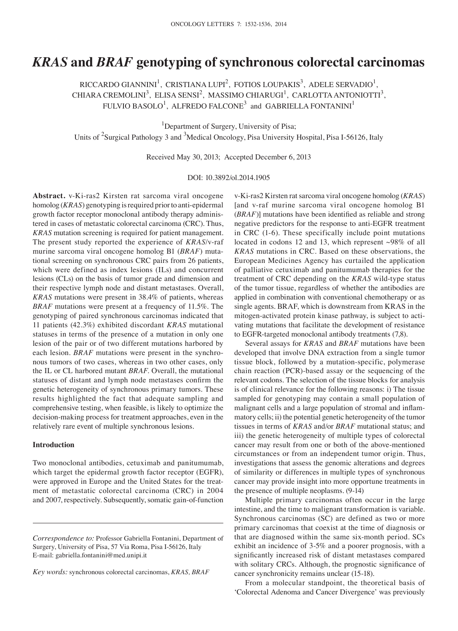# *KRAS* **and** *BRAF* **genotyping of synchronous colorectal carcinomas**

RICCARDO GIANNINI<sup>1</sup>, CRISTIANA LUPI<sup>2</sup>, FOTIOS LOUPAKIS<sup>3</sup>, ADELE SERVADIO<sup>1</sup>, CHIARA CREMOLINI<sup>3</sup>, ELISA SENSI<sup>2</sup>, MASSIMO CHIARUGI<sup>1</sup>, CARLOTTA ANTONIOTTI<sup>3</sup>, FULVIO BASOLO<sup>1</sup>, ALFREDO FALCONE<sup>3</sup> and GABRIELLA FONTANINI<sup>1</sup>

<sup>1</sup>Department of Surgery, University of Pisa; Units of <sup>2</sup>Surgical Pathology 3 and <sup>3</sup>Medical Oncology, Pisa University Hospital, Pisa I-56126, Italy

Received May 30, 2013; Accepted December 6, 2013

## DOI: 10.3892/ol.2014.1905

**Abstract.** v-Ki-ras2 Kirsten rat sarcoma viral oncogene homolog (*KRAS*) genotyping is required prior to anti-epidermal growth factor receptor monoclonal antibody therapy administered in cases of metastatic colorectal carcinoma (CRC). Thus, *KRAS* mutation screening is required for patient management. The present study reported the experience of *KRAS*/v-raf murine sarcoma viral oncogene homolog B1 (*BRAF*) mutational screening on synchronous CRC pairs from 26 patients, which were defined as index lesions (ILs) and concurrent lesions (CLs) on the basis of tumor grade and dimension and their respective lymph node and distant metastases. Overall, *KRAS* mutations were present in 38.4% of patients, whereas *BRAF* mutations were present at a frequency of 11.5%. The genotyping of paired synchronous carcinomas indicated that 11 patients (42.3%) exhibited discordant *KRAS* mutational statuses in terms of the presence of a mutation in only one lesion of the pair or of two different mutations harbored by each lesion. *BRAF* mutations were present in the synchronous tumors of two cases, whereas in two other cases, only the IL or CL harbored mutant *BRAF.* Overall, the mutational statuses of distant and lymph node metastases confirm the genetic heterogeneity of synchronous primary tumors. These results highlighted the fact that adequate sampling and comprehensive testing, when feasible, is likely to optimize the decision-making process for treatment approaches, even in the relatively rare event of multiple synchronous lesions.

## **Introduction**

Two monoclonal antibodies, cetuximab and panitumumab, which target the epidermal growth factor receptor (EGFR), were approved in Europe and the United States for the treatment of metastatic colorectal carcinoma (CRC) in 2004 and 2007, respectively. Subsequently, somatic gain-of-function

*Key words:* synchronous colorectal carcinomas, *KRAS, BRAF*

v-Ki-ras2 Kirsten rat sarcoma viral oncogene homolog (*KRAS*) [and v-raf murine sarcoma viral oncogene homolog B1 (*BRAF*)] mutations have been identified as reliable and strong negative predictors for the response to anti-EGFR treatment in CRC (1-6). These specifically include point mutations located in codons 12 and 13, which represent ~98% of all *KRAS* mutations in CRC. Based on these observations, the European Medicines Agency has curtailed the application of palliative cetuximab and panitumumab therapies for the treatment of CRC depending on the *KRAS* wild-type status of the tumor tissue, regardless of whether the antibodies are applied in combination with conventional chemotherapy or as single agents. BRAF, which is downstream from KRAS in the mitogen-activated protein kinase pathway, is subject to activating mutations that facilitate the development of resistance to EGFR-targeted monoclonal antibody treatments (7,8).

Several assays for *KRAS* and *BRAF* mutations have been developed that involve DNA extraction from a single tumor tissue block, followed by a mutation-specific, polymerase chain reaction (PCR)-based assay or the sequencing of the relevant codons. The selection of the tissue blocks for analysis is of clinical relevance for the following reasons: i) The tissue sampled for genotyping may contain a small population of malignant cells and a large population of stromal and inflammatory cells; ii) the potential genetic heterogeneity of the tumor tissues in terms of *KRAS* and/or *BRAF* mutational status; and iii) the genetic heterogeneity of multiple types of colorectal cancer may result from one or both of the above-mentioned circumstances or from an independent tumor origin. Thus, investigations that assess the genomic alterations and degrees of similarity or differences in multiple types of synchronous cancer may provide insight into more opportune treatments in the presence of multiple neoplasms. (9-14)

Multiple primary carcinomas often occur in the large intestine, and the time to malignant transformation is variable. Synchronous carcinomas (SC) are defined as two or more primary carcinomas that coexist at the time of diagnosis or that are diagnosed within the same six-month period. SCs exhibit an incidence of 3-5% and a poorer prognosis, with a significantly increased risk of distant metastases compared with solitary CRCs. Although, the prognostic significance of cancer synchronicity remains unclear (15-18).

From a molecular standpoint, the theoretical basis of 'Colorectal Adenoma and Cancer Divergence' was previously

*Correspondence to:* Professor Gabriella Fontanini, Department of Surgery, University of Pisa, 57 Via Roma, Pisa I-56126, Italy E-mail: gabriella.fontanini@med.unipi.it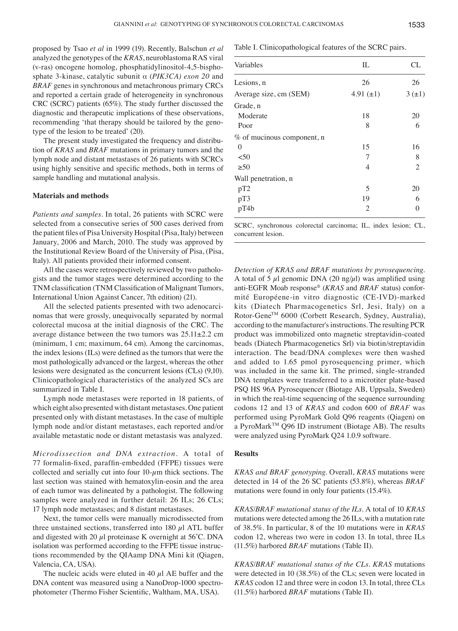proposed by Tsao *et al* in 1999 (19). Recently, Balschun *et al*  analyzed the genotypes of the *KRAS*, neuroblastoma RAS viral (v-ras) oncogene homolog, phosphatidylinositol-4,5-bisphosphate 3-kinase, catalytic subunit α (*PIK3CA) exon 20* and *BRAF* genes in synchronous and metachronous primary CRCs and reported a certain grade of heterogeneity in synchronous CRC (SCRC) patients (65%). The study further discussed the diagnostic and therapeutic implications of these observations, recommending 'that therapy should be tailored by the genotype of the lesion to be treated' (20).

The present study investigated the frequency and distribution of *KRAS* and *BRAF* mutations in primary tumors and the lymph node and distant metastases of 26 patients with SCRCs using highly sensitive and specific methods, both in terms of sample handling and mutational analysis.

## **Materials and methods**

*Patients and samples.* In total, 26 patients with SCRC were selected from a consecutive series of 500 cases derived from the patient files of Pisa University Hospital (Pisa, Italy) between January, 2006 and March, 2010. The study was approved by the Institutional Review Board of the University of Pisa, (Pisa, Italy). All patients provided their informed consent.

All the cases were retrospectively reviewed by two pathologists and the tumor stages were determined according to the TNM classification (TNM Classification of Malignant Tumors, International Union Against Cancer, 7th edition) (21).

All the selected patients presented with two adenocarcinomas that were grossly, unequivocally separated by normal colorectal mucosa at the initial diagnosis of the CRC. The average distance between the two tumors was  $25.11\pm2.2$  cm (minimum, 1 cm; maximum, 64 cm). Among the carcinomas, the index lesions (ILs) were defined as the tumors that were the most pathologically advanced or the largest, whereas the other lesions were designated as the concurrent lesions (CLs) (9,10). Clinicopathological characteristics of the analyzed SCs are summarized in Table I.

Lymph node metastases were reported in 18 patients, of which eight also presented with distant metastases. One patient presented only with distant metastases. In the case of multiple lymph node and/or distant metastases, each reported and/or available metastatic node or distant metastasis was analyzed.

*Microdissection and DNA extraction.* A total of 77 formalin‑fixed, paraffin‑embedded (FFPE) tissues were collected and serially cut into four  $10-\mu$ m thick sections. The last section was stained with hematoxylin-eosin and the area of each tumor was delineated by a pathologist. The following samples were analyzed in further detail: 26 ILs; 26 CLs; 17 lymph node metastases; and 8 distant metastases.

Next, the tumor cells were manually microdissected from three unstained sections, transferred into 180  $\mu$ l ATL buffer and digested with 20  $\mu$ l proteinase K overnight at 56°C. DNA isolation was performed according to the FFPE tissue instructions recommended by the QIAamp DNA Mini kit (Qiagen, Valencia, CA, USA).

The nucleic acids were eluted in 40  $\mu$ l AE buffer and the DNA content was measured using a NanoDrop-1000 spectrophotometer (Thermo Fisher Scientific, Waltham, MA, USA).

Table I. Clinicopathological features of the SCRC pairs.

| Variables                    | IL             | CL             |
|------------------------------|----------------|----------------|
| Lesions, n                   | 26             | 26             |
| Average size, cm (SEM)       | 4.91 $(\pm 1)$ | $3(\pm 1)$     |
| Grade, n                     |                |                |
| Moderate                     | 18             | 20             |
| Poor                         | 8              | 6              |
| $%$ of mucinous component, n |                |                |
| $\theta$                     | 15             | 16             |
| < 50                         | 7              | 8              |
| >50                          | 4              | $\overline{2}$ |
| Wall penetration, n          |                |                |
| pT2                          | 5              | 20             |
| pT3                          | 19             | 6              |
| pT4b                         | $\overline{2}$ | $\Omega$       |

SCRC, synchronous colorectal carcinoma; IL, index lesion; CL, concurrent lesion.

*Detection of KRAS and BRAF mutations by pyrosequencing.*  A total of 5  $\mu$ l genomic DNA (20 ng/ $\mu$ l) was amplified using anti-EGFR Moab response® (*KRAS* and *BRAF* status) conformité Européene-in vitro diagnostic (CE-IVD)-marked kits (Diatech Pharmacogenetics Srl, Jesi, Italy) on a Rotor-GeneTM 6000 (Corbett Research, Sydney, Australia), according to the manufacturer's instructions. The resulting PCR product was immobilized onto magnetic streptavidin-coated beads (Diatech Pharmacogenetics Srl) via biotin/streptavidin interaction. The bead/DNA complexes were then washed and added to 1.65 pmol pyrosequencing primer, which was included in the same kit. The primed, single-stranded DNA templates were transferred to a microtiter plate-based PSQ HS 96A Pyrosequencer (Biotage AB, Uppsala, Sweden) in which the real-time sequencing of the sequence surrounding codons 12 and 13 of *KRAS* and codon 600 of *BRAF* was performed using PyroMark Gold Q96 reagents (Qiagen) on a PyroMarkTM Q96 ID instrument (Biotage AB). The results were analyzed using PyroMark Q24 1.0.9 software.

#### **Results**

*KRAS and BRAF genotyping.* Overall, *KRAS* mutations were detected in 14 of the 26 SC patients (53.8%), whereas *BRAF*  mutations were found in only four patients (15.4%).

*KRAS*/*BRAF mutational status of the ILs.* A total of 10 *KRAS* mutations were detected among the 26 ILs, with a mutation rate of 38.5%. In particular, 8 of the 10 mutations were in *KRAS*  codon 12, whereas two were in codon 13. In total, three ILs (11.5%) harbored *BRAF* mutations (Table II).

*KRAS*/*BRAF mutational status of the CLs. KRAS* mutations were detected in 10 (38.5%) of the CLs; seven were located in *KRAS* codon 12 and three were in codon 13. In total, three CLs (11.5%) harbored *BRAF* mutations (Table II).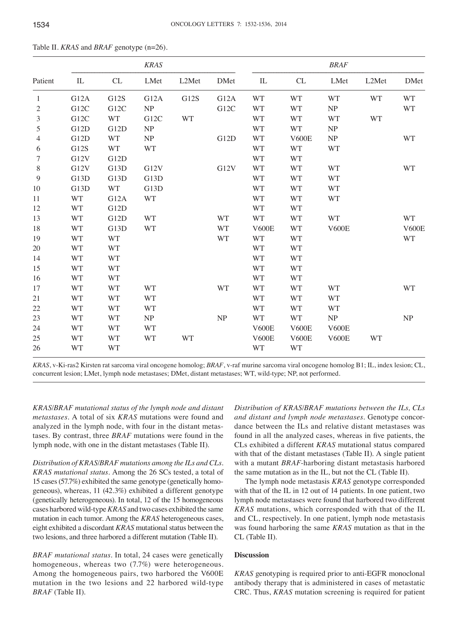| Patient        | <b>KRAS</b> |                   |                                   |           | <b>BRAF</b> |              |              |              |           |              |
|----------------|-------------|-------------------|-----------------------------------|-----------|-------------|--------------|--------------|--------------|-----------|--------------|
|                | IL          | CL                | LMet                              | L2Met     | <b>DMet</b> | $\rm IL$     | CL           | LMet         | L2Met     | <b>DMet</b>  |
| 1              | G12A        | G12S              | G12A                              | G12S      | G12A        | WT           | <b>WT</b>    | <b>WT</b>    | <b>WT</b> | <b>WT</b>    |
| $\mathfrak{2}$ | G12C        | G12C              | $\ensuremath{\mathsf{NP}}\xspace$ |           | G12C        | WT           | WT           | NP           |           | <b>WT</b>    |
| 3              | G12C        | <b>WT</b>         | G12C                              | <b>WT</b> |             | <b>WT</b>    | <b>WT</b>    | <b>WT</b>    | <b>WT</b> |              |
| 5              | G12D        | G12D              | NP                                |           |             | <b>WT</b>    | <b>WT</b>    | NP           |           |              |
| $\overline{4}$ | G12D        | <b>WT</b>         | NP                                |           | G12D        | <b>WT</b>    | <b>V600E</b> | NP           |           | <b>WT</b>    |
| 6              | G12S        | <b>WT</b>         | <b>WT</b>                         |           |             | <b>WT</b>    | <b>WT</b>    | <b>WT</b>    |           |              |
| 7              | G12V        | G12D              |                                   |           |             | <b>WT</b>    | <b>WT</b>    |              |           |              |
| $8\,$          | G12V        | G13D              | G12V                              |           | G12V        | <b>WT</b>    | <b>WT</b>    | <b>WT</b>    |           | <b>WT</b>    |
| 9              | G13D        | G13D              | G13D                              |           |             | <b>WT</b>    | <b>WT</b>    | <b>WT</b>    |           |              |
| 10             | G13D        | <b>WT</b>         | G13D                              |           |             | <b>WT</b>    | <b>WT</b>    | <b>WT</b>    |           |              |
| 11             | <b>WT</b>   | G12A              | <b>WT</b>                         |           |             | <b>WT</b>    | <b>WT</b>    | <b>WT</b>    |           |              |
| 12             | <b>WT</b>   | G12D              |                                   |           |             | <b>WT</b>    | <b>WT</b>    |              |           |              |
| 13             | WT          | G12D              | <b>WT</b>                         |           | <b>WT</b>   | WT           | WT           | <b>WT</b>    |           | <b>WT</b>    |
| 18             | <b>WT</b>   | G <sub>13</sub> D | <b>WT</b>                         |           | <b>WT</b>   | <b>V600E</b> | <b>WT</b>    | <b>V600E</b> |           | <b>V600E</b> |
| 19             | <b>WT</b>   | <b>WT</b>         |                                   |           | <b>WT</b>   | <b>WT</b>    | <b>WT</b>    |              |           | <b>WT</b>    |
| 20             | <b>WT</b>   | <b>WT</b>         |                                   |           |             | <b>WT</b>    | <b>WT</b>    |              |           |              |
| 14             | <b>WT</b>   | <b>WT</b>         |                                   |           |             | <b>WT</b>    | <b>WT</b>    |              |           |              |
| 15             | <b>WT</b>   | <b>WT</b>         |                                   |           |             | <b>WT</b>    | <b>WT</b>    |              |           |              |
| 16             | <b>WT</b>   | <b>WT</b>         |                                   |           |             | <b>WT</b>    | <b>WT</b>    |              |           |              |
| 17             | <b>WT</b>   | <b>WT</b>         | <b>WT</b>                         |           | <b>WT</b>   | <b>WT</b>    | <b>WT</b>    | <b>WT</b>    |           | <b>WT</b>    |
| 21             | WT          | <b>WT</b>         | WT                                |           |             | WT           | <b>WT</b>    | WT           |           |              |
| 22             | <b>WT</b>   | <b>WT</b>         | <b>WT</b>                         |           |             | <b>WT</b>    | <b>WT</b>    | <b>WT</b>    |           |              |
| 23             | <b>WT</b>   | <b>WT</b>         | NP                                |           | NP          | WT           | <b>WT</b>    | NP           |           | NP           |
| 24             | <b>WT</b>   | <b>WT</b>         | <b>WT</b>                         |           |             | <b>V600E</b> | <b>V600E</b> | <b>V600E</b> |           |              |
| 25             | <b>WT</b>   | <b>WT</b>         | <b>WT</b>                         | <b>WT</b> |             | <b>V600E</b> | <b>V600E</b> | <b>V600E</b> | <b>WT</b> |              |
| 26             | <b>WT</b>   | <b>WT</b>         |                                   |           |             | <b>WT</b>    | <b>WT</b>    |              |           |              |

Table II. *KRAS* and *BRAF* genotype (n=26).

*KRAS*, v-Ki-ras2 Kirsten rat sarcoma viral oncogene homolog; *BRAF*, v-raf murine sarcoma viral oncogene homolog B1; IL, index lesion; CL, concurrent lesion; LMet, lymph node metastases; DMet, distant metastases; WT, wild‑type; NP, not performed.

*KRAS*/*BRAF mutational status of the lymph node and distant metastases.* A total of six *KRAS* mutations were found and analyzed in the lymph node, with four in the distant metastases. By contrast, three *BRAF* mutations were found in the lymph node, with one in the distant metastases (Table II).

*Distribution of KRAS*/*BRAF mutations among the ILs and CLs. KRAS mutational status.* Among the 26 SCs tested, a total of 15 cases (57.7%) exhibited the same genotype (genetically homogeneous), whereas, 11 (42.3%) exhibited a different genotype (genetically heterogeneous). In total, 12 of the 15 homogeneous cases harbored wild-type *KRAS* and two cases exhibited the same mutation in each tumor. Among the *KRAS* heterogeneous cases, eight exhibited a discordant *KRAS* mutational status between the two lesions, and three harbored a different mutation (Table II).

*BRAF mutational status.* In total, 24 cases were genetically homogeneous, whereas two (7.7%) were heterogeneous. Among the homogeneous pairs, two harbored the V600E mutation in the two lesions and 22 harbored wild-type *BRAF* (Table II).

*Distribution of KRAS*/*BRAF mutations between the ILs, CLs and distant and lymph node metastases.* Genotype concordance between the ILs and relative distant metastases was found in all the analyzed cases, whereas in five patients, the CLs exhibited a different *KRAS* mutational status compared with that of the distant metastases (Table II). A single patient with a mutant *BRAF*-harboring distant metastasis harbored the same mutation as in the IL, but not the CL (Table II).

The lymph node metastasis *KRAS* genotype corresponded with that of the IL in 12 out of 14 patients. In one patient, two lymph node metastases were found that harbored two different *KRAS* mutations, which corresponded with that of the IL and CL, respectively. In one patient, lymph node metastasis was found harboring the same *KRAS* mutation as that in the CL (Table II).

# **Discussion**

*KRAS* genotyping is required prior to anti-EGFR monoclonal antibody therapy that is administered in cases of metastatic CRC. Thus, *KRAS* mutation screening is required for patient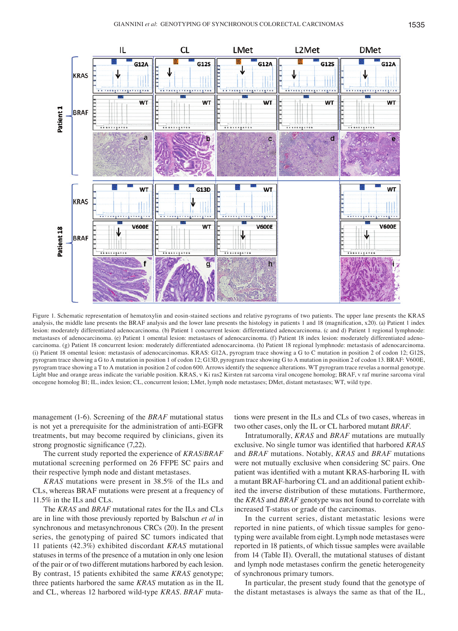

Figure 1. Schematic representation of hematoxylin and eosin-stained sections and relative pyrograms of two patients. The upper lane presents the KRAS analysis, the middle lane presents the BRAF analysis and the lower lane presents the histology in patients 1 and 18 (magnification, x20). (a) Patient 1 index lesion: moderately differentiated adenocarcinoma. (b) Patient 1 concurrent lesion: differentiated adenocarcinoma. (c and d) Patient 1 regional lymphnode: metastases of adenocarcinoma. (e) Patient 1 omental lesion: metastases of adenocarcinoma. (f) Patient 18 index lesion: moderately differentiated adenocarcinoma. (g) Patient 18 concurrent lesion: moderately differentiated adenocarcinoma. (h) Patient 18 regional lymphnode: metastasis of adenocarcinoma. (i) Patient 18 omental lesion: metastasis of adenocarcinomas. KRAS: G12A, pyrogram trace showing a G to C mutation in position 2 of codon 12; G12S, pyrogram trace showing a G to A mutation in position 1 of codon 12; G13D, pyrogram trace showing G to A mutation in position 2 of codon 13. BRAF: V600E, pyrogram trace showing a T to A mutation in position 2 of codon 600. Arrows identify the sequence alterations. WT pyrogram trace revelas a normal genotype. Light blue and orange areas indicate the variable position. KRAS, v Ki ras2 Kirsten rat sarcoma viral oncogene homolog; BRAF, v raf murine sarcoma viral oncogene homolog B1; IL, index lesion; CL, concurrent lesion; LMet, lymph node metastases; DMet, distant metastases; WT, wild type.

management (1-6). Screening of the *BRAF* mutational status is not yet a prerequisite for the administration of anti-EGFR treatments, but may become required by clinicians, given its strong prognostic significance (7,22).

The current study reported the experience of *KRAS*/*BRAF* mutational screening performed on 26 FFPE SC pairs and their respective lymph node and distant metastases.

*KRAS* mutations were present in 38.5% of the ILs and CLs, whereas BRAF mutations were present at a frequency of 11.5% in the ILs and CLs.

The *KRAS* and *BRAF* mutational rates for the ILs and CLs are in line with those previously reported by Balschun *et al* in synchronous and metasynchronous CRCs (20). In the present series, the genotyping of paired SC tumors indicated that 11 patients (42.3%) exhibited discordant *KRAS* mutational statuses in terms of the presence of a mutation in only one lesion of the pair or of two different mutations harbored by each lesion. By contrast, 15 patients exhibited the same *KRAS* genotype; three patients harbored the same *KRAS* mutation as in the IL and CL, whereas 12 harbored wild-type *KRAS*. *BRAF* muta-

tions were present in the ILs and CLs of two cases, whereas in two other cases, only the IL or CL harbored mutant *BRAF*.

Intratumorally, *KRAS* and *BRAF* mutations are mutually exclusive. No single tumor was identified that harbored *KRAS* and *BRAF* mutations. Notably, *KRAS* and *BRAF* mutations were not mutually exclusive when considering SC pairs. One patient was identified with a mutant KRAS‑harboring IL with a mutant BRAF-harboring CL and an additional patient exhibited the inverse distribution of these mutations. Furthermore, the *KRAS* and *BRAF* genotype was not found to correlate with increased T-status or grade of the carcinomas.

In the current series, distant metastatic lesions were reported in nine patients, of which tissue samples for genotyping were available from eight. Lymph node metastases were reported in 18 patients, of which tissue samples were available from 14 (Table II). Overall, the mutational statuses of distant and lymph node metastases confirm the genetic heterogeneity of synchronous primary tumors.

In particular, the present study found that the genotype of the distant metastases is always the same as that of the IL,